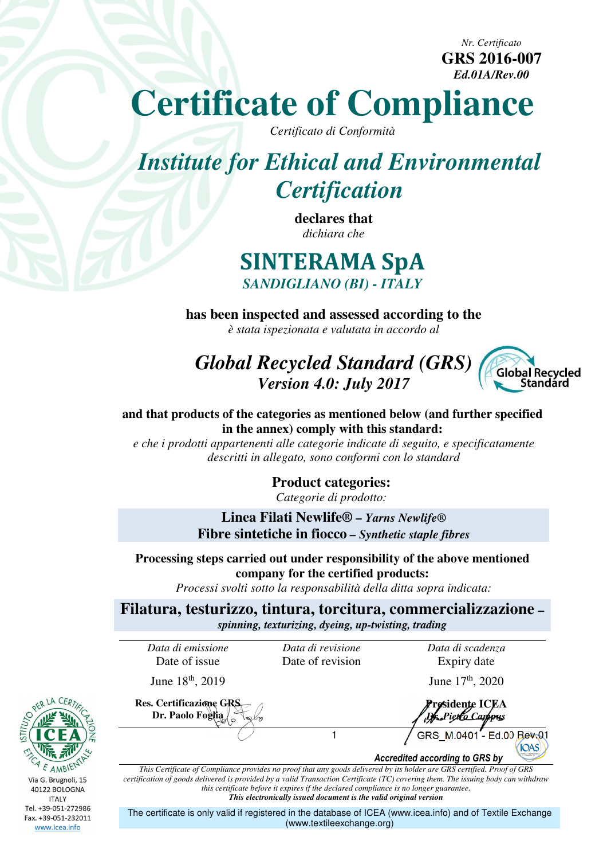**GRS 2016-007**  *Ed.01A/Rev.00*

*Nr. Certificato* 

# **Certificate of Compliance**

*Certificato di Conformità* 

# *Institute for Ethical and Environmental Certification*

**declares that**  *dichiara che* 

### **SINTERAMA SpA**  *SANDIGLIANO (BI) - ITALY*

**has been inspected and assessed according to the** *è stata ispezionata e valutata in accordo al* 

## *Global Recycled Standard (GRS) Version 4.0: July 2017*



**and that products of the categories as mentioned below (and further specified in the annex) comply with this standard:** 

*e che i prodotti appartenenti alle categorie indicate di seguito, e specificatamente descritti in allegato, sono conformi con lo standard* 

> **Product categories:**  *Categorie di prodotto:*

**Linea Filati Newlife®** *– Yarns Newlife®*  **Fibre sintetiche in fiocco** *– Synthetic staple fibres* 

**Processing steps carried out under responsibility of the above mentioned company for the certified products:** 

*Processi svolti sotto la responsabilità della ditta sopra indicata:* 

**Filatura, testurizzo, tintura, torcitura, commercializzazione** *– spinning, texturizing, dyeing, up-twisting, trading* 

*Data di emissione* 

**Res. Certificazione GRS Dr. Paolo Foglia** 

Date of issue

June  $18^{th}$ , 2019 June  $17^{th}$ , 2020

*Data di revisione*  Date of revision *Data di scadenza*  Expiry date

**Presidente ICEA**  *Dr. Pietro Campus*1 (GRS M.0401 - Ed.00 Rev.01 **IOAS** 

*Accredited according to GRS by*

*This Certificate of Compliance provides no proof that any goods delivered by its holder are GRS certified. Proof of GRS certification of goods delivered is provided by a valid Transaction Certificate (TC) covering them. The issuing body can withdraw this certificate before it expires if the declared compliance is no longer guarantee. This electronically issued document is the valid original version*

The certificate is only valid if registered in the database of ICEA (www.icea.info) and of Textile Exchange (www.textileexchange.org)

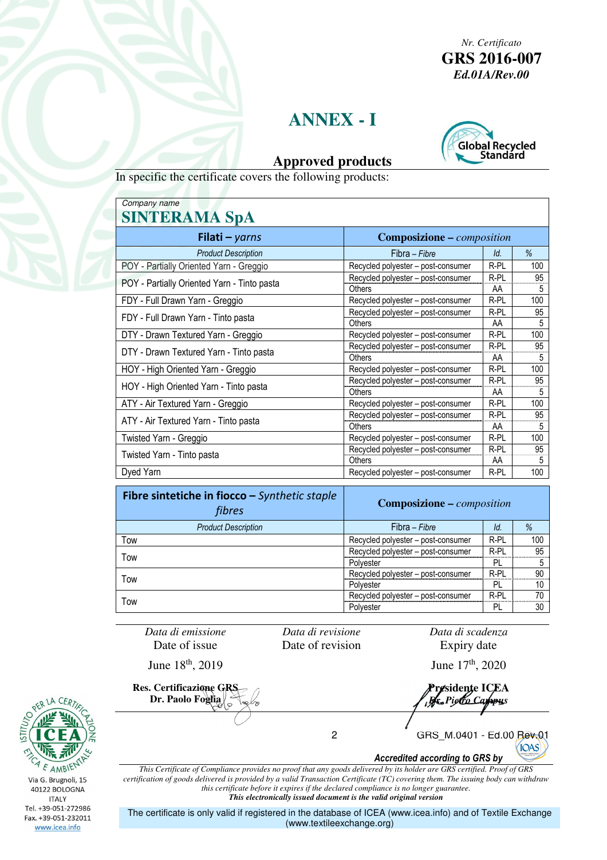*Nr. Certificato*  **GRS 2016-007**  *Ed.01A/Rev.00*

#### **ANNEX - I**



#### **Approved products**

In specific the certificate covers the following products:

| Company name                                |                                    |      |     |  |  |  |
|---------------------------------------------|------------------------------------|------|-----|--|--|--|
| <b>SINTERAMA SpA</b>                        |                                    |      |     |  |  |  |
| <b>Filati</b> – yarns                       | <b>Composizione - composition</b>  |      |     |  |  |  |
| <b>Product Description</b>                  | Fibra - Fibre                      | Id.  | %   |  |  |  |
| POY - Partially Oriented Yarn - Greggio     | Recycled polyester - post-consumer | R-PL | 100 |  |  |  |
| POY - Partially Oriented Yarn - Tinto pasta | Recycled polyester – post-consumer | R-PL | 95  |  |  |  |
|                                             | Others                             | AA   | 5   |  |  |  |
| FDY - Full Drawn Yarn - Greggio             | Recycled polyester – post-consumer | R-PL | 100 |  |  |  |
|                                             | Recycled polyester - post-consumer | R-PL | 95  |  |  |  |
| FDY - Full Drawn Yarn - Tinto pasta         | Others                             | AA   | 5   |  |  |  |
| DTY - Drawn Textured Yarn - Greggio         | Recycled polyester - post-consumer | R-PL | 100 |  |  |  |
| DTY - Drawn Textured Yarn - Tinto pasta     | Recycled polyester – post-consumer | R-PL | 95  |  |  |  |
|                                             | Others                             | AA   | 5   |  |  |  |
| HOY - High Oriented Yarn - Greggio          | Recycled polyester – post-consumer | R-PL | 100 |  |  |  |
|                                             | Recycled polyester - post-consumer | R-PL | 95  |  |  |  |
| HOY - High Oriented Yarn - Tinto pasta      | Others                             | AA   | 5   |  |  |  |
| ATY - Air Textured Yarn - Greggio           | Recycled polyester - post-consumer | R-PL | 100 |  |  |  |
|                                             | Recycled polyester - post-consumer | R-PL | 95  |  |  |  |
| ATY - Air Textured Yarn - Tinto pasta       | Others                             | AA   | 5   |  |  |  |
| Twisted Yarn - Greggio                      | Recycled polyester - post-consumer | R-PL | 100 |  |  |  |
|                                             | Recycled polyester - post-consumer | R-PL | 95  |  |  |  |
| Twisted Yarn - Tinto pasta                  | Others                             | AA   | 5   |  |  |  |
| Dyed Yarn                                   | Recycled polyester – post-consumer | R-PL | 100 |  |  |  |

| Fibre sintetiche in fiocco – Synthetic staple<br>fibres | <b>Composizione – composition</b>  |          |     |
|---------------------------------------------------------|------------------------------------|----------|-----|
| <b>Product Description</b>                              | Fibra – Fibre                      | ld.      | %   |
| Tow                                                     | Recycled polyester – post-consumer | R-PL     | 100 |
| Tow                                                     | Recycled polyester - post-consumer | $R - PL$ | 95  |
|                                                         | Polyester                          | PL       |     |
| Tow                                                     | Recycled polyester - post-consumer | R-PL     | 90  |
|                                                         | Polyester                          | PI.      | 10  |
| Tow                                                     | Recycled polyester - post-consumer | R-PL     | 70  |
|                                                         | Polyester                          | PL       | 30  |

*Data di emissione*  Date of issue

*Data di revisione*  Date of revision *Data di scadenza*  Expiry date

June  $18^{th}$ , 2019 June  $17^{th}$ , 2020

**Res. Certificazione GRS Dr. Paolo Foglia** 

**Presidente ICEA**  *Dr. Pietro Campus*

2 GRS M.0401 - Ed.00 Rev.01 **IOAS** *Accredited according to GRS by*

*This Certificate of Compliance provides no proof that any goods delivered by its holder are GRS certified. Proof of GRS certification of goods delivered is provided by a valid Transaction Certificate (TC) covering them. The issuing body can withdraw this certificate before it expires if the declared compliance is no longer guarantee. This electronically issued document is the valid original version*

The certificate is only valid if registered in the database of ICEA (www.icea.info) and of Textile Exchange (www.textileexchange.org)